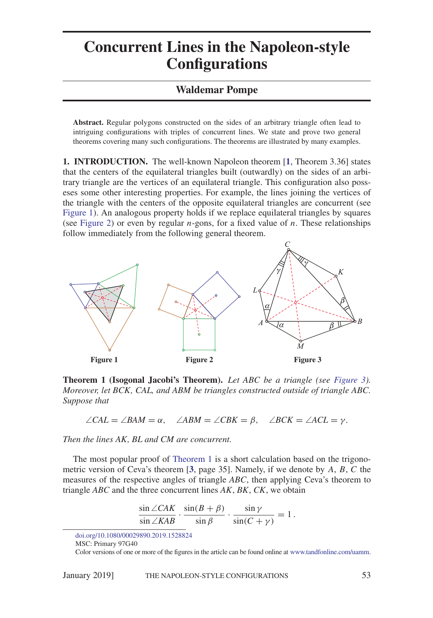## **Concurrent Lines in the Napoleon-style Configurations**

## **Waldemar Pompe**

**Abstract.** Regular polygons constructed on the sides of an arbitrary triangle often lead to intriguing configurations with triples of concurrent lines. We state and prove two general theorems covering many such configurations. The theorems are illustrated by many examples.

**1. INTRODUCTION.** The well-known Napoleon theorem [**[1](#page-6-0)**, Theorem 3.36] states that the centers of the equilateral triangles built (outwardly) on the sides of an arbitrary triangle are the vertices of an equilateral triangle. This configuration also posseses some other interesting properties. For example, the lines joining the vertices of the triangle with the centers of the opposite equilateral triangles are concurrent (see [Figure 1\)](#page-0-0). An analogous property holds if we replace equilateral triangles by squares (see [Figure 2\)](#page-0-0) or even by regular *n*-gons, for a fixed value of *n*. These relationships follow immediately from the following general theorem.

<span id="page-0-0"></span>

<span id="page-0-1"></span>**Theorem 1 (Isogonal Jacobi's Theorem).** *Let ABC be a triangle (see [Figure 3\)](#page-0-0). Moreover, let BCK, CAL, and ABM be triangles constructed outside of triangle ABC. Suppose that*

 $\angle$ *CAL* =  $\angle$ *BAM* =  $\alpha$ ,  $\angle$ *ABM* =  $\angle$ *CBK* =  $\beta$ ,  $\angle$ *BCK* =  $\angle$ *ACL* =  $\gamma$ .

*Then the lines AK, BL and CM are concurrent.*

The most popular proof of [Theorem 1](#page-0-1) is a short calculation based on the trigonometric version of Ceva's theorem [**[3](#page-6-1)**, page 35]. Namely, if we denote by *A*, *B*, *C* the measures of the respective angles of triangle *ABC*, then applying Ceva's theorem to triangle *ABC* and the three concurrent lines *AK*, *BK*, *CK*, we obtain

$$
\frac{\sin \angle CAK}{\sin \angle KAB} \cdot \frac{\sin(B+\beta)}{\sin \beta} \cdot \frac{\sin \gamma}{\sin(C+\gamma)} = 1.
$$

[doi.org/10.1080/00029890.2019.1528824](http://dx.doi.org/10.1080/00029890.2019.1528824)

MSC: Primary 97G40

Color versions of one or more of the figures in the article can be found online at [www.tandfonline.com/uamm.](http://www.tandfonline.com/uamm)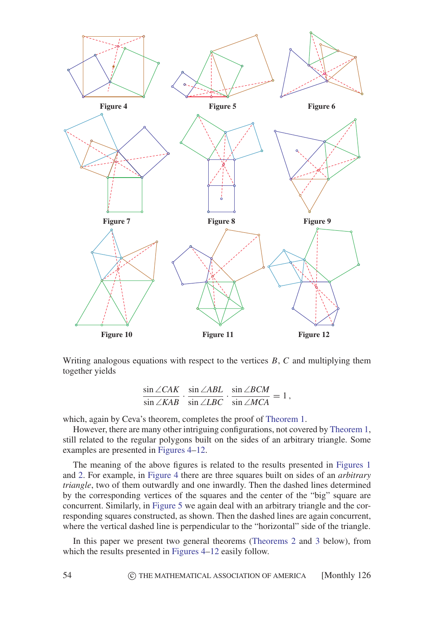<span id="page-1-0"></span>

Writing analogous equations with respect to the vertices *B*, *C* and multiplying them together yields

$$
\frac{\sin \angle CAK}{\sin \angle KAB} \cdot \frac{\sin \angle ABL}{\sin \angle LBC} \cdot \frac{\sin \angle BCM}{\sin \angle MCA} = 1,
$$

which, again by Ceva's theorem, completes the proof of [Theorem 1.](#page-0-1)

However, there are many other intriguing configurations, not covered by [Theorem 1,](#page-0-1) still related to the regular polygons built on the sides of an arbitrary triangle. Some examples are presented in [Figures 4–12.](#page-1-0)

The meaning of the above figures is related to the results presented in [Figures 1](#page-0-0) and [2.](#page-0-0) For example, in [Figure 4](#page-1-0) there are three squares built on sides of an *arbitrary triangle*, two of them outwardly and one inwardly. Then the dashed lines determined by the corresponding vertices of the squares and the center of the "big" square are concurrent. Similarly, in [Figure 5](#page-1-0) we again deal with an arbitrary triangle and the corresponding squares constructed, as shown. Then the dashed lines are again concurrent, where the vertical dashed line is perpendicular to the "horizontal" side of the triangle.

In this paper we present two general theorems [\(Theorems 2](#page-2-0) and [3](#page-2-1) below), from which the results presented in [Figures 4–12](#page-1-0) easily follow.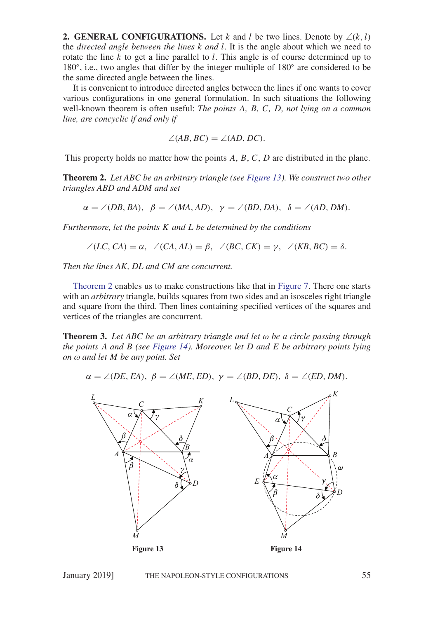**2. GENERAL CONFIGURATIONS.** Let *k* and *l* be two lines. Denote by  $\angle(k, l)$ the *directed angle between the lines k and l*. It is the angle about which we need to rotate the line *k* to get a line parallel to *l*. This angle is of course determined up to  $180^\circ$ , i.e., two angles that differ by the integer multiple of  $180^\circ$  are considered to be the same directed angle between the lines.

It is convenient to introduce directed angles between the lines if one wants to cover various configurations in one general formulation. In such situations the following well-known theorem is often useful: *The points A, B, C, D, not lying on a common line, are concyclic if and only if*

$$
\angle(AB, BC) = \angle(AD, DC).
$$

This property holds no matter how the points *A*, *B*, *C*, *D* are distributed in the plane.

<span id="page-2-0"></span>**Theorem 2.** *Let ABC be an arbitrary triangle (see [Figure 13\)](#page-2-2). We construct two other triangles ABD and ADM and set*

$$
\alpha = \angle (DB, BA), \ \beta = \angle (MA, AD), \ \gamma = \angle (BD, DA), \ \delta = \angle (AD, DM).
$$

*Furthermore, let the points K and L be determined by the conditions*

$$
\angle (LC, CA) = \alpha, \angle (CA, AL) = \beta, \angle (BC, CK) = \gamma, \angle (KB, BC) = \delta.
$$

*Then the lines AK, DL and CM are concurrent.*

[Theorem 2](#page-2-0) enables us to make constructions like that in [Figure 7.](#page-1-0) There one starts with an *arbitrary* triangle, builds squares from two sides and an isosceles right triangle and square from the third. Then lines containing specified vertices of the squares and vertices of the triangles are concurrent.

<span id="page-2-1"></span>**Theorem 3.** *Let ABC be an arbitrary triangle and let ω be a circle passing through the points A and B (see [Figure 14\)](#page-2-2). Moreover. let D and E be arbitrary points lying on ω and let M be any point. Set*

$$
\alpha = \angle (DE, EA), \ \beta = \angle (ME, ED), \ \gamma = \angle (BD, DE), \ \delta = \angle (ED, DM).
$$

<span id="page-2-2"></span>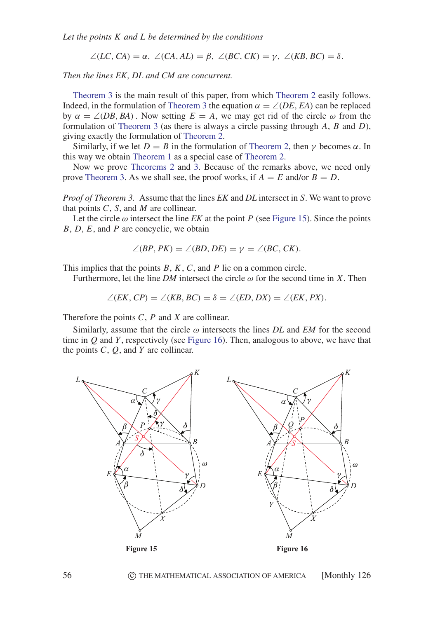*Let the points K and L be determined by the conditions*

 $\angle$ (*LC*, *CA*) =  $\alpha$ ,  $\angle$ (*CA*, *AL*) =  $\beta$ ,  $\angle$ (*BC*, *CK*) =  $\gamma$ ,  $\angle$ (*KB*, *BC*) =  $\delta$ .

*Then the lines EK, DL and CM are concurrent.*

[Theorem 3](#page-2-1) is the main result of this paper, from which [Theorem 2](#page-2-0) easily follows. Indeed, in the formulation of [Theorem 3](#page-2-1) the equation  $\alpha = \angle$ *(DE, EA)* can be replaced by  $\alpha = \angle$ (*DB*, *BA*). Now setting  $E = A$ , we may get rid of the circle  $\omega$  from the formulation of [Theorem 3](#page-2-1) (as there is always a circle passing through *A*, *B* and *D*), giving exactly the formulation of [Theorem 2.](#page-2-0)

Similarly, if we let  $D = B$  in the formulation of [Theorem 2,](#page-2-0) then  $\gamma$  becomes  $\alpha$ . In this way we obtain [Theorem 1](#page-0-1) as a special case of [Theorem 2.](#page-2-0)

Now we prove [Theorems 2](#page-2-0) and [3.](#page-2-1) Because of the remarks above, we need only prove [Theorem 3.](#page-2-1) As we shall see, the proof works, if  $A = E$  and/or  $B = D$ .

*Proof of Theorem 3.* Assume that the lines *EK* and *DL* intersect in *S*. We want to prove that points *C*, *S*, and *M* are collinear.

Let the circle  $\omega$  intersect the line *EK* at the point *P* (see [Figure 15\)](#page-3-0). Since the points *B*, *D*, *E*, and *P* are concyclic, we obtain

$$
\angle (BP, PK) = \angle (BD, DE) = \gamma = \angle (BC, CK).
$$

This implies that the points *B*, *K*, *C*, and *P* lie on a common circle.

Furthermore, let the line *DM* intersect the circle  $\omega$  for the second time in *X*. Then

$$
\angle (EK, CP) = \angle (KB, BC) = \delta = \angle (ED, DX) = \angle (EK, PX).
$$

Therefore the points *C*, *P* and *X* are collinear.

Similarly, assume that the circle *ω* intersects the lines *DL* and *EM* for the second time in *Q* and *Y* , respectively (see [Figure 16\)](#page-3-0). Then, analogous to above, we have that the points *C*, *Q*, and *Y* are collinear.

<span id="page-3-0"></span>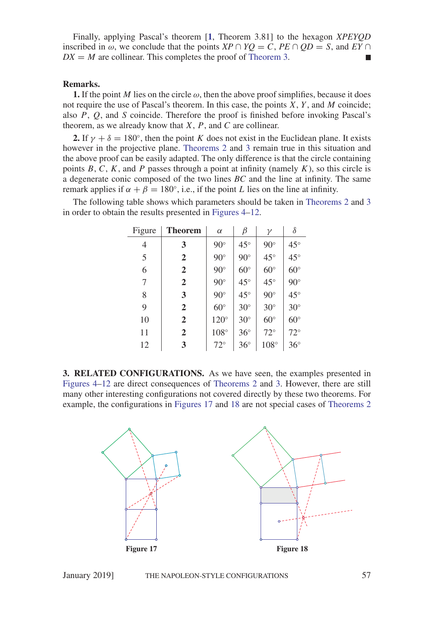Finally, applying Pascal's theorem [**[1](#page-6-0)**, Theorem 3.81] to the hexagon *XPEYQD* inscribed in  $\omega$ , we conclude that the points *XP*  $\cap$  *YO* = *C*, *PE*  $\cap$  *OD* = *S*, and *EY*  $\cap$  $DX = M$  are collinear. This completes the proof of [Theorem 3.](#page-2-1)

## **Remarks.**

**1.** If the point *M* lies on the circle  $\omega$ , then the above proof simplifies, because it does not require the use of Pascal's theorem. In this case, the points *X*, *Y* , and *M* coincide; also *P*, *Q*, and *S* coincide. Therefore the proof is finished before invoking Pascal's theorem, as we already know that *X*, *P*, and *C* are collinear.

**2.** If  $\gamma + \delta = 180^\circ$ , then the point *K* does not exist in the Euclidean plane. It exists however in the projective plane. [Theorems 2](#page-2-0) and [3](#page-2-1) remain true in this situation and the above proof can be easily adapted. The only difference is that the circle containing points  $B, C, K$ , and  $P$  passes through a point at infinity (namely  $K$ ), so this circle is a degenerate conic composed of the two lines *BC* and the line at infinity. The same remark applies if  $α + β = 180°$ , i.e., if the point *L* lies on the line at infinity.

The following table shows which parameters should be taken in [Theorems 2](#page-2-0) and [3](#page-2-1) in order to obtain the results presented in [Figures 4–12.](#page-1-0)

| Figure         | <b>Theorem</b> | $\alpha$     | β            | γ            | δ            |
|----------------|----------------|--------------|--------------|--------------|--------------|
| 4              | 3              | $90^\circ$   | $45^{\circ}$ | $90^\circ$   | $45^{\circ}$ |
| 5              | $\overline{2}$ | $90^\circ$   | $90^\circ$   | $45^{\circ}$ | $45^{\circ}$ |
| 6              | $\overline{2}$ | $90^\circ$   | $60^{\circ}$ | $60^\circ$   | $60^\circ$   |
| $\overline{7}$ | $\overline{2}$ | $90^\circ$   | $45^{\circ}$ | $45^{\circ}$ | $90^\circ$   |
| 8              | 3              | $90^\circ$   | $45^{\circ}$ | $90^\circ$   | $45^{\circ}$ |
| 9              | $\overline{2}$ | $60^\circ$   | $30^\circ$   | $30^\circ$   | $30^\circ$   |
| 10             | $\overline{2}$ | $120^\circ$  | $30^\circ$   | $60^{\circ}$ | $60^\circ$   |
| 11             | $\overline{2}$ | $108^\circ$  | $36^{\circ}$ | $72^{\circ}$ | $72^{\circ}$ |
| 12             | 3              | $72^{\circ}$ | $36^{\circ}$ | $108^\circ$  | $36^{\circ}$ |

**3. RELATED CONFIGURATIONS.** As we have seen, the examples presented in [Figures 4–12](#page-1-0) are direct consequences of [Theorems 2](#page-2-0) and [3.](#page-2-1) However, there are still many other interesting configurations not covered directly by these two theorems. For example, the configurations in [Figures 17](#page-4-0) and [18](#page-4-0) are not special cases of [Theorems 2](#page-2-0)

<span id="page-4-0"></span>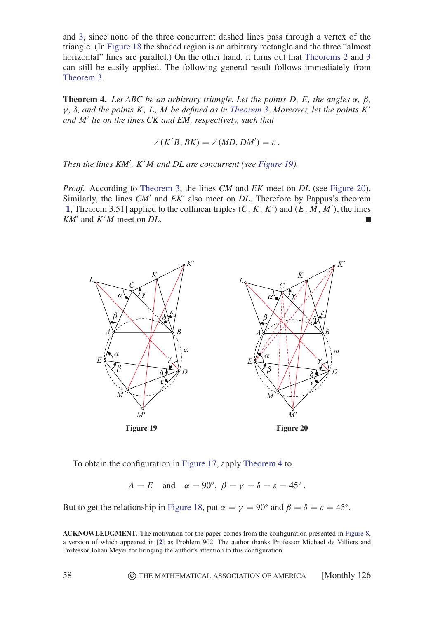and [3,](#page-2-1) since none of the three concurrent dashed lines pass through a vertex of the triangle. (In [Figure 18](#page-4-0) the shaded region is an arbitrary rectangle and the three "almost horizontal" lines are parallel.) On the other hand, it turns out that [Theorems 2](#page-2-0) and [3](#page-2-1) can still be easily applied. The following general result follows immediately from [Theorem 3.](#page-2-1)

<span id="page-5-1"></span>**Theorem 4.** *Let ABC be an arbitrary triangle. Let the points D, E, the angles α, β, γ , δ, and the points K, L, M be defined as in [Theorem 3.](#page-2-1) Moreover, let the points K and M lie on the lines CK and EM, respectively, such that*

$$
\angle(K'B, BK) = \angle(MD, DM') = \varepsilon.
$$

*Then the lines KM , K M and DL are concurrent (see [Figure 19\)](#page-5-0).*

*Proof.* According to [Theorem 3,](#page-2-1) the lines *CM* and *EK* meet on *DL* (see [Figure 20\)](#page-5-0). Similarly, the lines *CM'* and *EK'* also meet on *DL*. Therefore by Pappus's theorem  $[1,$  $[1,$  $[1,$  Theorem 3.51] applied to the collinear triples  $(C, K, K')$  and  $(E, M, M')$ , the lines *KM* and *K M* meet on *DL*.

<span id="page-5-0"></span>

To obtain the configuration in [Figure 17,](#page-4-0) apply [Theorem 4](#page-5-1) to

 $A = E$  and  $\alpha = 90^\circ$ ,  $\beta = \gamma = \delta = \epsilon = 45^\circ$ .

But to get the relationship in [Figure 18,](#page-4-0) put  $\alpha = \gamma = 90^\circ$  and  $\beta = \delta = \epsilon = 45^\circ$ .

**ACKNOWLEDGMENT.** The motivation for the paper comes from the configuration presented in [Figure 8,](#page-1-0) a version of which appeared in [**[2](#page-6-2)**] as Problem 902. The author thanks Professor Michael de Villiers and Professor Johan Meyer for bringing the author's attention to this configuration.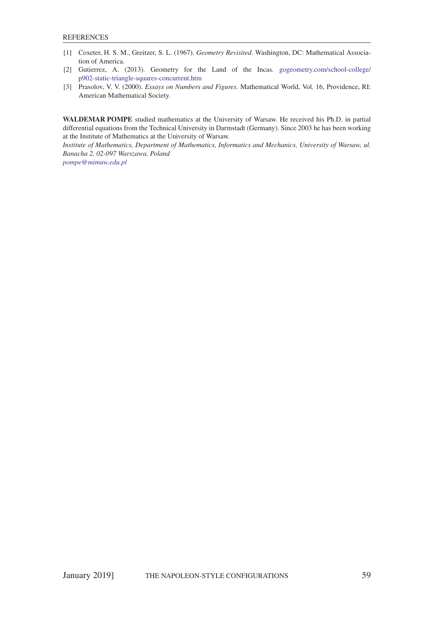- <span id="page-6-2"></span><span id="page-6-0"></span>[1] Coxeter, H. S. M., Greitzer, S. L. (1967). *Geometry Revisited*. Washington, DC: Mathematical Association of America.
- [2] Gutierrez, A. (2013). Geometry for the Land of the Incas. [gogeometry.com/school-college/](http://gogeometry.com/school-college/p902-static-triangle-squares-concurrent.htm) [p902-static-triangle-squares-concurrent.htm](http://gogeometry.com/school-college/p902-static-triangle-squares-concurrent.htm)
- <span id="page-6-1"></span>[3] Prasolov, V. V. (2000). *Essays on Numbers and Figures*. Mathematical World, Vol. 16, Providence, RI: American Mathematical Society.

**WALDEMAR POMPE** studied mathematics at the University of Warsaw. He received his Ph.D. in partial differential equations from the Technical University in Darmstadt (Germany). Since 2003 he has been working at the Institute of Mathematics at the University of Warsaw.

*Institute of Mathematics, Department of Mathematics, Informatics and Mechanics, University of Warsaw, ul. Banacha 2, 02-097 Warszawa, Poland*

*[pompe@mimuw.edu.pl](mailto:pompe@mimuw.edu.pl)*